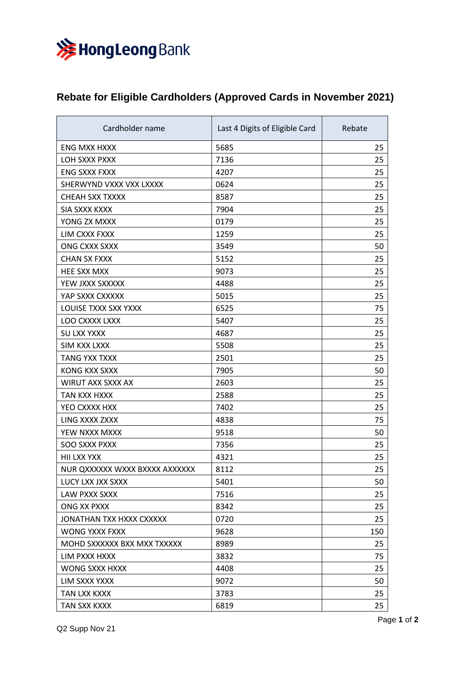

## **Rebate for Eligible Cardholders (Approved Cards in November 2021)**

| Cardholder name                | Last 4 Digits of Eligible Card | Rebate |
|--------------------------------|--------------------------------|--------|
| <b>ENG MXX HXXX</b>            | 5685                           | 25     |
| LOH SXXX PXXX                  | 7136                           | 25     |
| <b>ENG SXXX FXXX</b>           | 4207                           | 25     |
| SHERWYND VXXX VXX LXXXX        | 0624                           | 25     |
| CHEAH SXX TXXXX                | 8587                           | 25     |
| SIA SXXX KXXX                  | 7904                           | 25     |
| YONG ZX MXXX                   | 0179                           | 25     |
| LIM CXXX FXXX                  | 1259                           | 25     |
| ONG CXXX SXXX                  | 3549                           | 50     |
| <b>CHAN SX FXXX</b>            | 5152                           | 25     |
| HEE SXX MXX                    | 9073                           | 25     |
| YEW JXXX SXXXXX                | 4488                           | 25     |
| YAP SXXX CXXXXX                | 5015                           | 25     |
| LOUISE TXXX SXX YXXX           | 6525                           | 75     |
| LOO CXXXX LXXX                 | 5407                           | 25     |
| <b>SU LXX YXXX</b>             | 4687                           | 25     |
| <b>SIM KXX LXXX</b>            | 5508                           | 25     |
| <b>TANG YXX TXXX</b>           | 2501                           | 25     |
| KONG KXX SXXX                  | 7905                           | 50     |
| WIRUT AXX SXXX AX              | 2603                           | 25     |
| TAN KXX HXXX                   | 2588                           | 25     |
| YEO CXXXX HXX                  | 7402                           | 25     |
| LING XXXX ZXXX                 | 4838                           | 75     |
| YEW NXXX MXXX                  | 9518                           | 50     |
| <b>SOO SXXX PXXX</b>           | 7356                           | 25     |
| HII LXX YXX                    | 4321                           | 25     |
| NUR QXXXXXX WXXX BXXXX AXXXXXX | 8112                           | 25     |
| LUCY LXX JXX SXXX              | 5401                           | 50     |
| LAW PXXX SXXX                  | 7516                           | 25     |
| ONG XX PXXX                    | 8342                           | 25     |
| JONATHAN TXX HXXX CXXXXX       | 0720                           | 25     |
| WONG YXXX FXXX                 | 9628                           | 150    |
| MOHD SXXXXXX BXX MXX TXXXXX    | 8989                           | 25     |
| LIM PXXX HXXX                  | 3832                           | 75     |
| WONG SXXX HXXX                 | 4408                           | 25     |
| LIM SXXX YXXX                  | 9072                           | 50     |
| TAN LXX KXXX                   | 3783                           | 25     |
| TAN SXX KXXX                   | 6819                           | 25     |